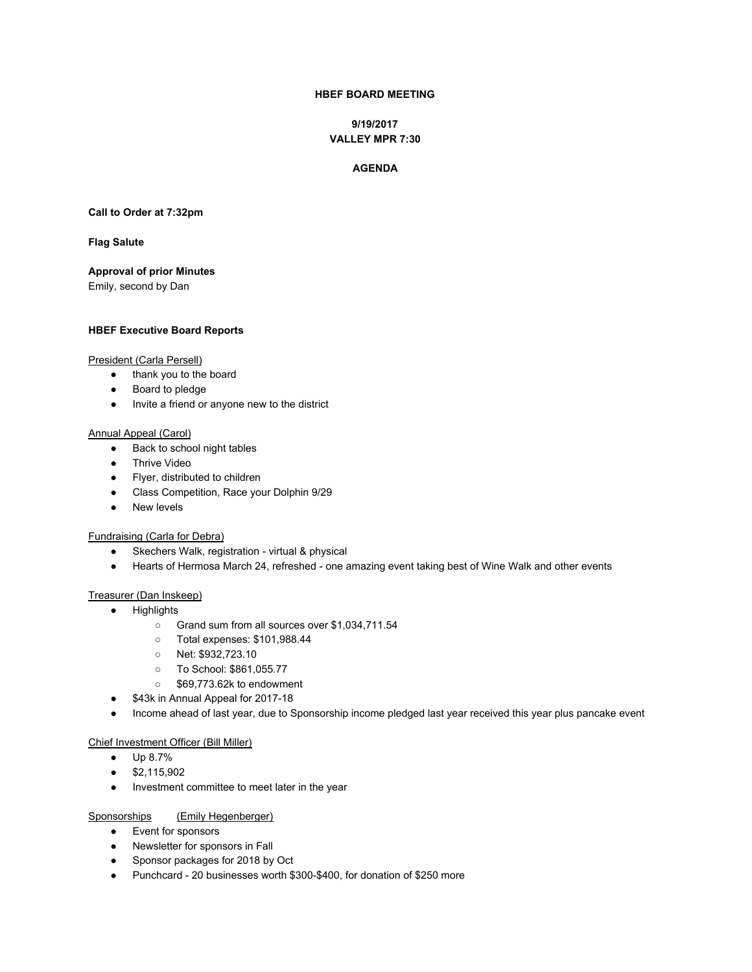# **HBEF BOARD MEETING**

**9/19/2017 VALLEY MPR 7:30**

#### **AGENDA**

**Call to Order at 7:32pm**

#### **Flag Salute**

**Approval of prior Minutes**

Emily, second by Dan

#### **HBEF Executive Board Reports**

#### President (Carla Persell)

- thank you to the board
- Board to pledge
- Invite a friend or anyone new to the district

#### Annual Appeal (Carol)

- Back to school night tables
- Thrive Video
- Flyer, distributed to children
- Class Competition, Race your Dolphin 9/29
- New levels

#### Fundraising (Carla for Debra)

- Skechers Walk, registration virtual & physical
- Hearts of Hermosa March 24, refreshed one amazing event taking best of Wine Walk and other events

#### Treasurer (Dan Inskeep)

- Highlights
	- Grand sum from all sources over \$1,034,711.54
	- Total expenses: \$101,988.44
	- Net: \$932,723.10
	- To School: \$861,055.77
	- \$69,773.62k to endowment
- \$43k in Annual Appeal for 2017-18
- Income ahead of last year, due to Sponsorship income pledged last year received this year plus pancake event

# Chief Investment Officer (Bill Miller)

- Up 8.7%
- \$2,115,902
- Investment committee to meet later in the year

#### Sponsorships (Emily Hegenberger)

- Event for sponsors
- Newsletter for sponsors in Fall
- Sponsor packages for 2018 by Oct
- Punchcard 20 businesses worth \$300-\$400, for donation of \$250 more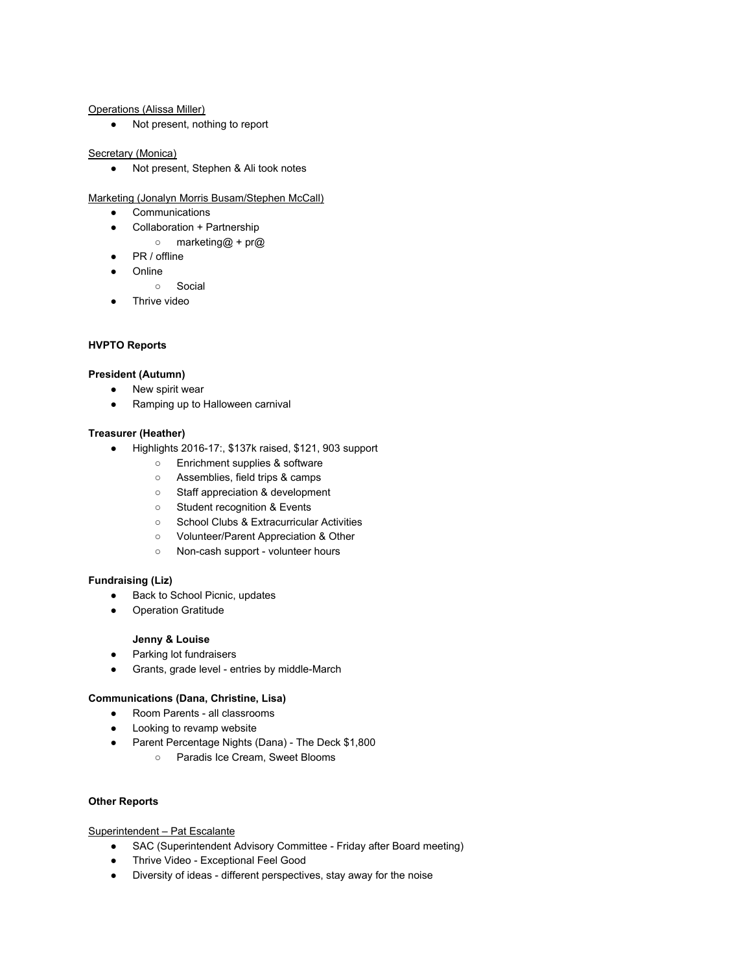#### Operations (Alissa Miller)

● Not present, nothing to report

## Secretary (Monica)

● Not present, Stephen & Ali took notes

Marketing (Jonalyn Morris Busam/Stephen McCall)

- Communications
- Collaboration + Partnership
	- marketing@ + pr@
- PR / offline
- **Online** 
	- Social
- Thrive video

# **HVPTO Reports**

## **President (Autumn)**

- New spirit wear
- Ramping up to Halloween carnival

## **Treasurer (Heather)**

- Highlights 2016-17:, \$137k raised, \$121, 903 support
	- Enrichment supplies & software
	- Assemblies, field trips & camps
	- Staff appreciation & development
	- Student recognition & Events
	- School Clubs & Extracurricular Activities
	- Volunteer/Parent Appreciation & Other
	- Non-cash support volunteer hours

## **Fundraising (Liz)**

- Back to School Picnic, updates
- Operation Gratitude

## **Jenny & Louise**

- Parking lot fundraisers
- Grants, grade level entries by middle-March

## **Communications (Dana, Christine, Lisa)**

- Room Parents all classrooms
- Looking to revamp website
- Parent Percentage Nights (Dana) The Deck \$1,800
	- Paradis Ice Cream, Sweet Blooms

## **Other Reports**

## Superintendent – Pat Escalante

- SAC (Superintendent Advisory Committee Friday after Board meeting)
- Thrive Video Exceptional Feel Good
- Diversity of ideas different perspectives, stay away for the noise